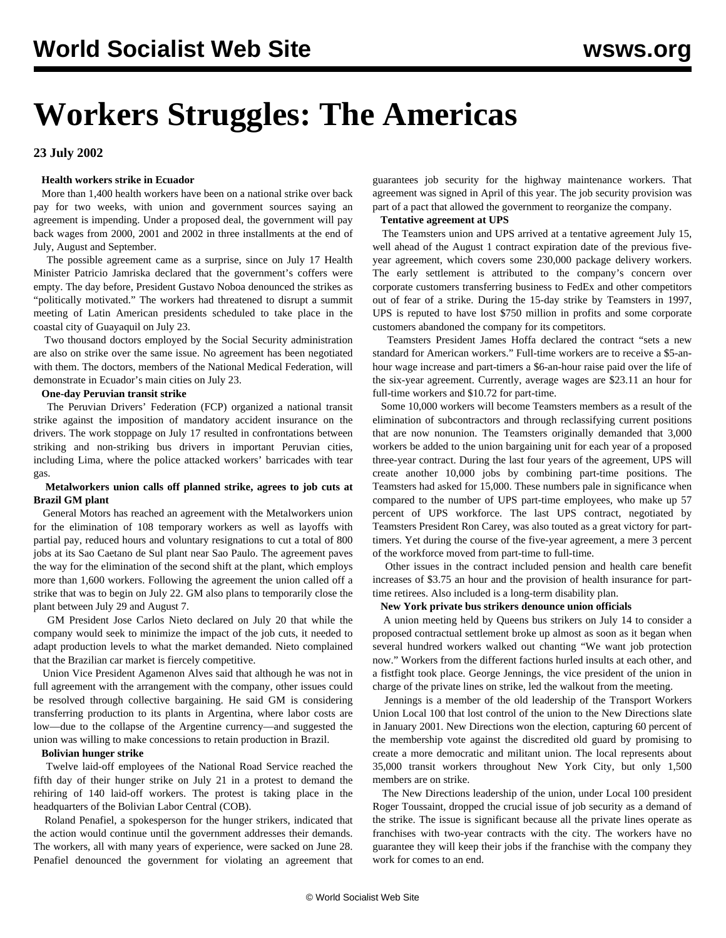# **Workers Struggles: The Americas**

## **23 July 2002**

## **Health workers strike in Ecuador**

 More than 1,400 health workers have been on a national strike over back pay for two weeks, with union and government sources saying an agreement is impending. Under a proposed deal, the government will pay back wages from 2000, 2001 and 2002 in three installments at the end of July, August and September.

 The possible agreement came as a surprise, since on July 17 Health Minister Patricio Jamriska declared that the government's coffers were empty. The day before, President Gustavo Noboa denounced the strikes as "politically motivated." The workers had threatened to disrupt a summit meeting of Latin American presidents scheduled to take place in the coastal city of Guayaquil on July 23.

 Two thousand doctors employed by the Social Security administration are also on strike over the same issue. No agreement has been negotiated with them. The doctors, members of the National Medical Federation, will demonstrate in Ecuador's main cities on July 23.

#### **One-day Peruvian transit strike**

 The Peruvian Drivers' Federation (FCP) organized a national transit strike against the imposition of mandatory accident insurance on the drivers. The work stoppage on July 17 resulted in confrontations between striking and non-striking bus drivers in important Peruvian cities, including Lima, where the police attacked workers' barricades with tear gas.

## **Metalworkers union calls off planned strike, agrees to job cuts at Brazil GM plant**

 General Motors has reached an agreement with the Metalworkers union for the elimination of 108 temporary workers as well as layoffs with partial pay, reduced hours and voluntary resignations to cut a total of 800 jobs at its Sao Caetano de Sul plant near Sao Paulo. The agreement paves the way for the elimination of the second shift at the plant, which employs more than 1,600 workers. Following the agreement the union called off a strike that was to begin on July 22. GM also plans to temporarily close the plant between July 29 and August 7.

 GM President Jose Carlos Nieto declared on July 20 that while the company would seek to minimize the impact of the job cuts, it needed to adapt production levels to what the market demanded. Nieto complained that the Brazilian car market is fiercely competitive.

 Union Vice President Agamenon Alves said that although he was not in full agreement with the arrangement with the company, other issues could be resolved through collective bargaining. He said GM is considering transferring production to its plants in Argentina, where labor costs are low—due to the collapse of the Argentine currency—and suggested the union was willing to make concessions to retain production in Brazil.

## **Bolivian hunger strike**

 Twelve laid-off employees of the National Road Service reached the fifth day of their hunger strike on July 21 in a protest to demand the rehiring of 140 laid-off workers. The protest is taking place in the headquarters of the Bolivian Labor Central (COB).

 Roland Penafiel, a spokesperson for the hunger strikers, indicated that the action would continue until the government addresses their demands. The workers, all with many years of experience, were sacked on June 28. Penafiel denounced the government for violating an agreement that guarantees job security for the highway maintenance workers. That agreement was signed in April of this year. The job security provision was part of a pact that allowed the government to reorganize the company.

## **Tentative agreement at UPS**

 The Teamsters union and UPS arrived at a tentative agreement July 15, well ahead of the August 1 contract expiration date of the previous fiveyear agreement, which covers some 230,000 package delivery workers. The early settlement is attributed to the company's concern over corporate customers transferring business to FedEx and other competitors out of fear of a strike. During the 15-day strike by Teamsters in 1997, UPS is reputed to have lost \$750 million in profits and some corporate customers abandoned the company for its competitors.

 Teamsters President James Hoffa declared the contract "sets a new standard for American workers." Full-time workers are to receive a \$5-anhour wage increase and part-timers a \$6-an-hour raise paid over the life of the six-year agreement. Currently, average wages are \$23.11 an hour for full-time workers and \$10.72 for part-time.

 Some 10,000 workers will become Teamsters members as a result of the elimination of subcontractors and through reclassifying current positions that are now nonunion. The Teamsters originally demanded that 3,000 workers be added to the union bargaining unit for each year of a proposed three-year contract. During the last four years of the agreement, UPS will create another 10,000 jobs by combining part-time positions. The Teamsters had asked for 15,000. These numbers pale in significance when compared to the number of UPS part-time employees, who make up 57 percent of UPS workforce. The last UPS contract, negotiated by Teamsters President Ron Carey, was also touted as a great victory for parttimers. Yet during the course of the five-year agreement, a mere 3 percent of the workforce moved from part-time to full-time.

 Other issues in the contract included pension and health care benefit increases of \$3.75 an hour and the provision of health insurance for parttime retirees. Also included is a long-term disability plan.

#### **New York private bus strikers denounce union officials**

 A union meeting held by Queens bus strikers on July 14 to consider a proposed contractual settlement broke up almost as soon as it began when several hundred workers walked out chanting "We want job protection now." Workers from the different factions hurled insults at each other, and a fistfight took place. George Jennings, the vice president of the union in charge of the private lines on strike, led the walkout from the meeting.

 Jennings is a member of the old leadership of the Transport Workers Union Local 100 that lost control of the union to the New Directions slate in January 2001. New Directions won the election, capturing 60 percent of the membership vote against the discredited old guard by promising to create a more democratic and militant union. The local represents about 35,000 transit workers throughout New York City, but only 1,500 members are on strike.

 The New Directions leadership of the union, under Local 100 president Roger Toussaint, dropped the crucial issue of job security as a demand of the strike. The issue is significant because all the private lines operate as franchises with two-year contracts with the city. The workers have no guarantee they will keep their jobs if the franchise with the company they work for comes to an end.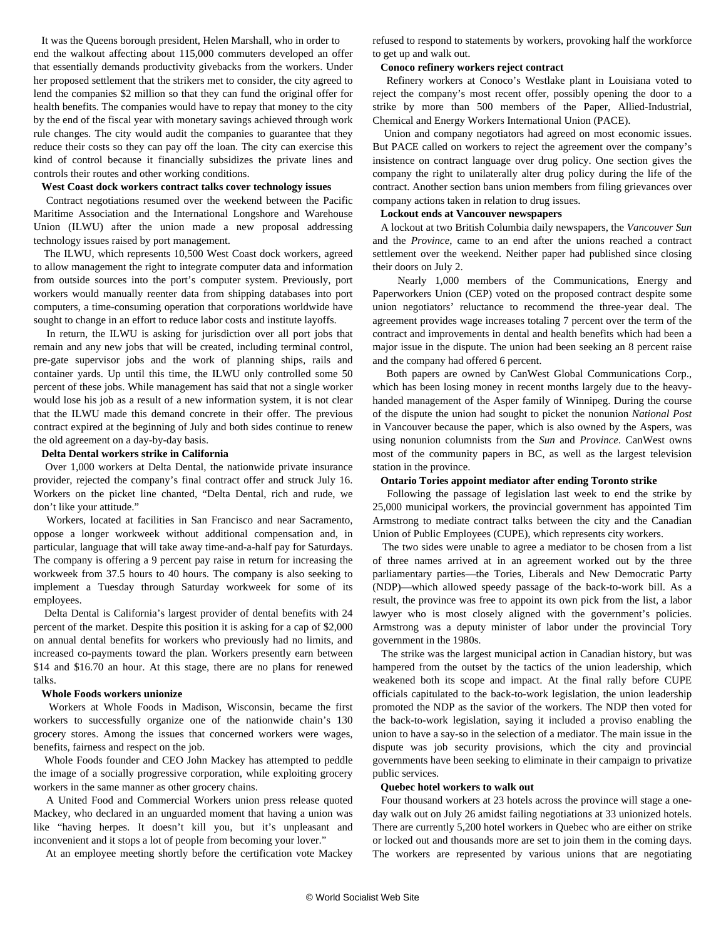It was the Queens borough president, Helen Marshall, who in order to end the walkout affecting about 115,000 commuters developed an offer that essentially demands productivity givebacks from the workers. Under her proposed settlement that the strikers met to consider, the city agreed to lend the companies \$2 million so that they can fund the original offer for health benefits. The companies would have to repay that money to the city by the end of the fiscal year with monetary savings achieved through work rule changes. The city would audit the companies to guarantee that they reduce their costs so they can pay off the loan. The city can exercise this kind of control because it financially subsidizes the private lines and controls their routes and other working conditions.

## **West Coast dock workers contract talks cover technology issues**

 Contract negotiations resumed over the weekend between the Pacific Maritime Association and the International Longshore and Warehouse Union (ILWU) after the union made a new proposal addressing technology issues raised by port management.

 The ILWU, which represents 10,500 West Coast dock workers, agreed to allow management the right to integrate computer data and information from outside sources into the port's computer system. Previously, port workers would manually reenter data from shipping databases into port computers, a time-consuming operation that corporations worldwide have sought to change in an effort to reduce labor costs and institute layoffs.

 In return, the ILWU is asking for jurisdiction over all port jobs that remain and any new jobs that will be created, including terminal control, pre-gate supervisor jobs and the work of planning ships, rails and container yards. Up until this time, the ILWU only controlled some 50 percent of these jobs. While management has said that not a single worker would lose his job as a result of a new information system, it is not clear that the ILWU made this demand concrete in their offer. The previous contract expired at the beginning of July and both sides continue to renew the old agreement on a day-by-day basis.

## **Delta Dental workers strike in California**

 Over 1,000 workers at Delta Dental, the nationwide private insurance provider, rejected the company's final contract offer and struck July 16. Workers on the picket line chanted, "Delta Dental, rich and rude, we don't like your attitude."

 Workers, located at facilities in San Francisco and near Sacramento, oppose a longer workweek without additional compensation and, in particular, language that will take away time-and-a-half pay for Saturdays. The company is offering a 9 percent pay raise in return for increasing the workweek from 37.5 hours to 40 hours. The company is also seeking to implement a Tuesday through Saturday workweek for some of its employees.

 Delta Dental is California's largest provider of dental benefits with 24 percent of the market. Despite this position it is asking for a cap of \$2,000 on annual dental benefits for workers who previously had no limits, and increased co-payments toward the plan. Workers presently earn between \$14 and \$16.70 an hour. At this stage, there are no plans for renewed talks.

#### **Whole Foods workers unionize**

 Workers at Whole Foods in Madison, Wisconsin, became the first workers to successfully organize one of the nationwide chain's 130 grocery stores. Among the issues that concerned workers were wages, benefits, fairness and respect on the job.

 Whole Foods founder and CEO John Mackey has attempted to peddle the image of a socially progressive corporation, while exploiting grocery workers in the same manner as other grocery chains.

 A United Food and Commercial Workers union press release quoted Mackey, who declared in an unguarded moment that having a union was like "having herpes. It doesn't kill you, but it's unpleasant and inconvenient and it stops a lot of people from becoming your lover."

At an employee meeting shortly before the certification vote Mackey

refused to respond to statements by workers, provoking half the workforce to get up and walk out.

#### **Conoco refinery workers reject contract**

 Refinery workers at Conoco's Westlake plant in Louisiana voted to reject the company's most recent offer, possibly opening the door to a strike by more than 500 members of the Paper, Allied-Industrial, Chemical and Energy Workers International Union (PACE).

 Union and company negotiators had agreed on most economic issues. But PACE called on workers to reject the agreement over the company's insistence on contract language over drug policy. One section gives the company the right to unilaterally alter drug policy during the life of the contract. Another section bans union members from filing grievances over company actions taken in relation to drug issues.

#### **Lockout ends at Vancouver newspapers**

 A lockout at two British Columbia daily newspapers, the *Vancouver Sun* and the *Province*, came to an end after the unions reached a contract settlement over the weekend. Neither paper had published since closing their doors on July 2.

 Nearly 1,000 members of the Communications, Energy and Paperworkers Union (CEP) voted on the proposed contract despite some union negotiators' reluctance to recommend the three-year deal. The agreement provides wage increases totaling 7 percent over the term of the contract and improvements in dental and health benefits which had been a major issue in the dispute. The union had been seeking an 8 percent raise and the company had offered 6 percent.

 Both papers are owned by CanWest Global Communications Corp., which has been losing money in recent months largely due to the heavyhanded management of the Asper family of Winnipeg. During the course of the dispute the union had sought to picket the nonunion *National Post* in Vancouver because the paper, which is also owned by the Aspers, was using nonunion columnists from the *Sun* and *Province*. CanWest owns most of the community papers in BC, as well as the largest television station in the province.

#### **Ontario Tories appoint mediator after ending Toronto strike**

 Following the passage of legislation last week to end the strike by 25,000 municipal workers, the provincial government has appointed Tim Armstrong to mediate contract talks between the city and the Canadian Union of Public Employees (CUPE), which represents city workers.

 The two sides were unable to agree a mediator to be chosen from a list of three names arrived at in an agreement worked out by the three parliamentary parties—the Tories, Liberals and New Democratic Party (NDP)—which allowed speedy passage of the back-to-work bill. As a result, the province was free to appoint its own pick from the list, a labor lawyer who is most closely aligned with the government's policies. Armstrong was a deputy minister of labor under the provincial Tory government in the 1980s.

 The strike was the largest municipal action in Canadian history, but was hampered from the outset by the tactics of the union leadership, which weakened both its scope and impact. At the final rally before CUPE officials capitulated to the back-to-work legislation, the union leadership promoted the NDP as the savior of the workers. The NDP then voted for the back-to-work legislation, saying it included a proviso enabling the union to have a say-so in the selection of a mediator. The main issue in the dispute was job security provisions, which the city and provincial governments have been seeking to eliminate in their campaign to privatize public services.

#### **Quebec hotel workers to walk out**

 Four thousand workers at 23 hotels across the province will stage a oneday walk out on July 26 amidst failing negotiations at 33 unionized hotels. There are currently 5,200 hotel workers in Quebec who are either on strike or locked out and thousands more are set to join them in the coming days. The workers are represented by various unions that are negotiating